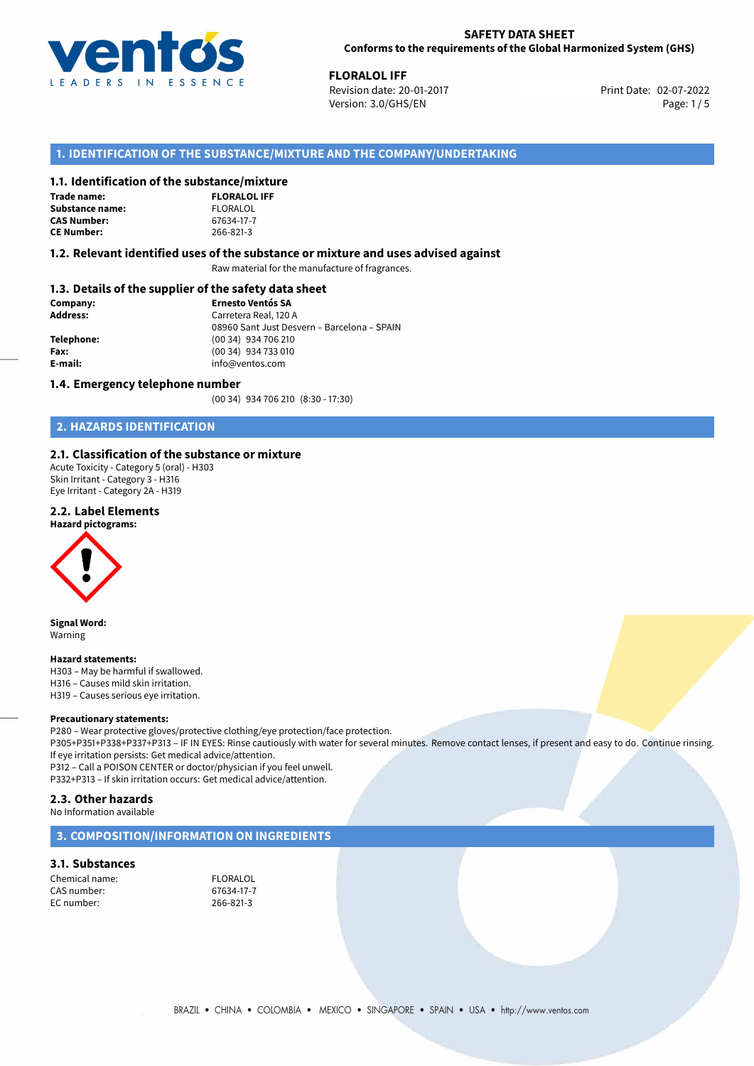

02-07-2022 **FLORALOL IFF** Revision date: 20-01-2017 Print Date: Version: 3.0/GHS/EN Page: 1/5

# **1. IDENTIFICATION OF THE SUBSTANCE/MIXTURE AND THE COMPANY/UNDERTAKING**

# **1.1. Identification of the substance/mixture**

**Trade name: Substance name: CAS Number: CE Number:** 266-821-3

| ומוונכן ווווגננ     |  |
|---------------------|--|
| <b>FLORALOL IFF</b> |  |
| FLORALOL            |  |
| 67634-17-7          |  |
| 266-821-3           |  |

## **1.2. Relevant identified uses of the substance or mixture and uses advised against**

Raw material for the manufacture of fragrances.

# **1.3. Details of the supplier of the safety data sheet**

| Company:   | <b>Ernesto Ventós SA</b>                    |  |
|------------|---------------------------------------------|--|
| Address:   | Carretera Real, 120 A                       |  |
|            | 08960 Sant Just Desvern - Barcelona - SPAIN |  |
| Telephone: | (00 34) 934 706 210                         |  |
| Fax:       | (00 34) 934 733 010                         |  |
| E-mail:    | info@ventos.com                             |  |
|            |                                             |  |

## **1.4. Emergency telephone number**

(00 34) 934 706 210 (8:30 - 17:30)

# **2. HAZARDS IDENTIFICATION**

# **2.1. Classification of the substance or mixture**

Acute Toxicity - Category 5 (oral) - H303 Skin Irritant - Category 3 - H316 Eye Irritant - Category 2A - H319

# **2.2. Label Elements**





**Signal Word:** Warning

#### **Hazard statements:**

H303 – May be harmful if swallowed. H316 – Causes mild skin irritation. H319 – Causes serious eye irritation.

## **Precautionary statements:**

P280 – Wear protective gloves/protective clothing/eye protection/face protection. P305+P351+P338+P337+P313 – IF IN EYES: Rinse cautiously with water for several minutes. Remove contact lenses, if present and easy to do. Continue rinsing. If eye irritation persists: Get medical advice/attention. P312 – Call a POISON CENTER or doctor/physician if you feel unwell. P332+P313 – If skin irritation occurs: Get medical advice/attention.

# **2.3. Other hazards**

No Information available

# **3. COMPOSITION/INFORMATION ON INGREDIENTS**

# **3.1. Substances**

Chemical name:<br>
CAS number:<br>
G7634-17-7 EC number: 266-821-3

67634-17-7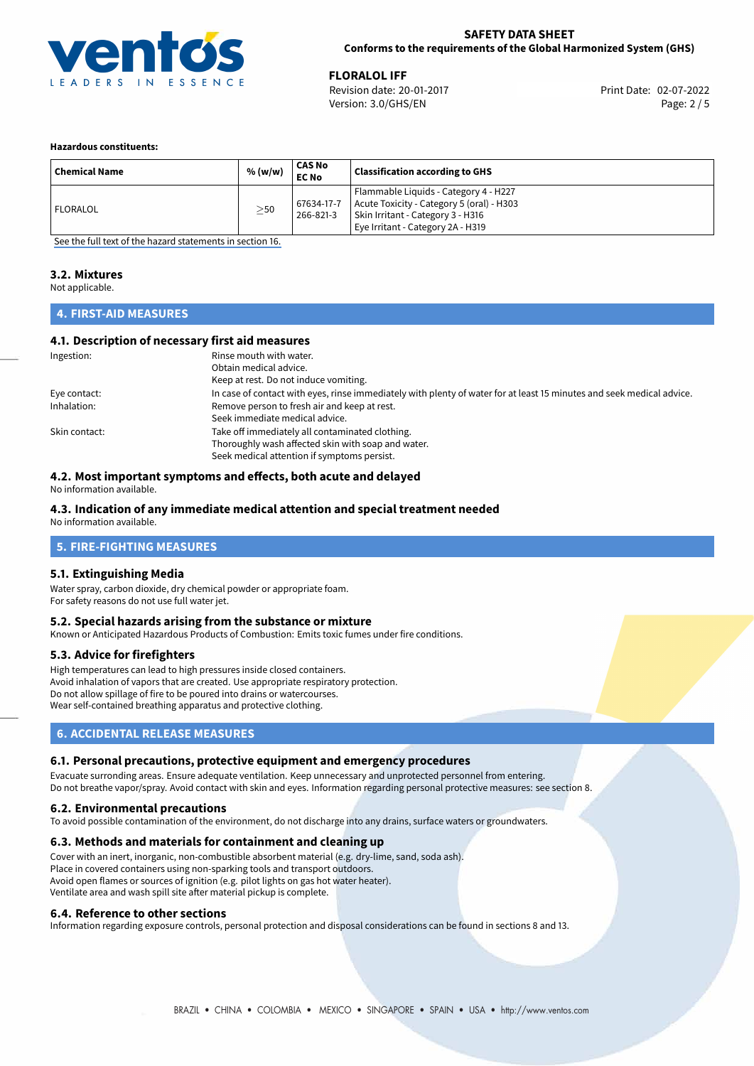

02-07-2022 **FLORALOL IFF** Revision date: 20-01-2017 Print Date: Version: 3.0/GHS/EN Page: 2 / 5

## **Hazardous constituents:**

| <b>Chemical Name</b> | % (w/w)   | CAS No<br><b>EC No</b>  | <b>Classification according to GHS</b>                                                                                                                       |
|----------------------|-----------|-------------------------|--------------------------------------------------------------------------------------------------------------------------------------------------------------|
| <b>FLORALOL</b>      | $\geq$ 50 | 67634-17-7<br>266-821-3 | Flammable Liquids - Category 4 - H227<br>Acute Toxicity - Category 5 (oral) - H303<br>Skin Irritant - Category 3 - H316<br>Eye Irritant - Category 2A - H319 |

[See the full text of the hazard statements in section 16.](#page-4-0)

# **3.2. Mixtures**

Not applicable.

# **4. FIRST-AID MEASURES**

# **4.1. Description of necessary first aid measures**

| Ingestion:    | Rinse mouth with water.<br>Obtain medical advice.                                                                     |
|---------------|-----------------------------------------------------------------------------------------------------------------------|
|               | Keep at rest. Do not induce vomiting.                                                                                 |
| Eye contact:  | In case of contact with eyes, rinse immediately with plenty of water for at least 15 minutes and seek medical advice. |
| Inhalation:   | Remove person to fresh air and keep at rest.                                                                          |
|               | Seek immediate medical advice.                                                                                        |
| Skin contact: | Take off immediately all contaminated clothing.                                                                       |
|               | Thoroughly wash affected skin with soap and water.                                                                    |
|               | Seek medical attention if symptoms persist.                                                                           |

# **4.2. Most important symptoms and effects, both acute and delayed**

No information available.

# **4.3. Indication of any immediate medical attention and special treatment needed**

No information available.

# **5. FIRE-FIGHTING MEASURES**

# **5.1. Extinguishing Media**

Water spray, carbon dioxide, dry chemical powder or appropriate foam. For safety reasons do not use full water jet.

## **5.2. Special hazards arising from the substance or mixture**

Known or Anticipated Hazardous Products of Combustion: Emits toxic fumes under fire conditions.

# **5.3. Advice for firefighters**

High temperatures can lead to high pressures inside closed containers. Avoid inhalation of vapors that are created. Use appropriate respiratory protection. Do not allow spillage of fire to be poured into drains or watercourses. Wear self-contained breathing apparatus and protective clothing.

# **6. ACCIDENTAL RELEASE MEASURES**

# **6.1. Personal precautions, protective equipment and emergency procedures**

Evacuate surronding areas. Ensure adequate ventilation. Keep unnecessary and unprotected personnel from entering. Do not breathe vapor/spray. Avoid contact with skin and eyes. Information regarding personal protective measures: see section 8.

# **6.2. Environmental precautions**

To avoid possible contamination of the environment, do not discharge into any drains, surface waters or groundwaters.

## **6.3. Methods and materials for containment and cleaning up**

Cover with an inert, inorganic, non-combustible absorbent material (e.g. dry-lime, sand, soda ash). Place in covered containers using non-sparking tools and transport outdoors. Avoid open flames or sources of ignition (e.g. pilot lights on gas hot water heater). Ventilate area and wash spill site after material pickup is complete.

## **6.4. Reference to other sections**

Information regarding exposure controls, personal protection and disposal considerations can be found in sections 8 and 13.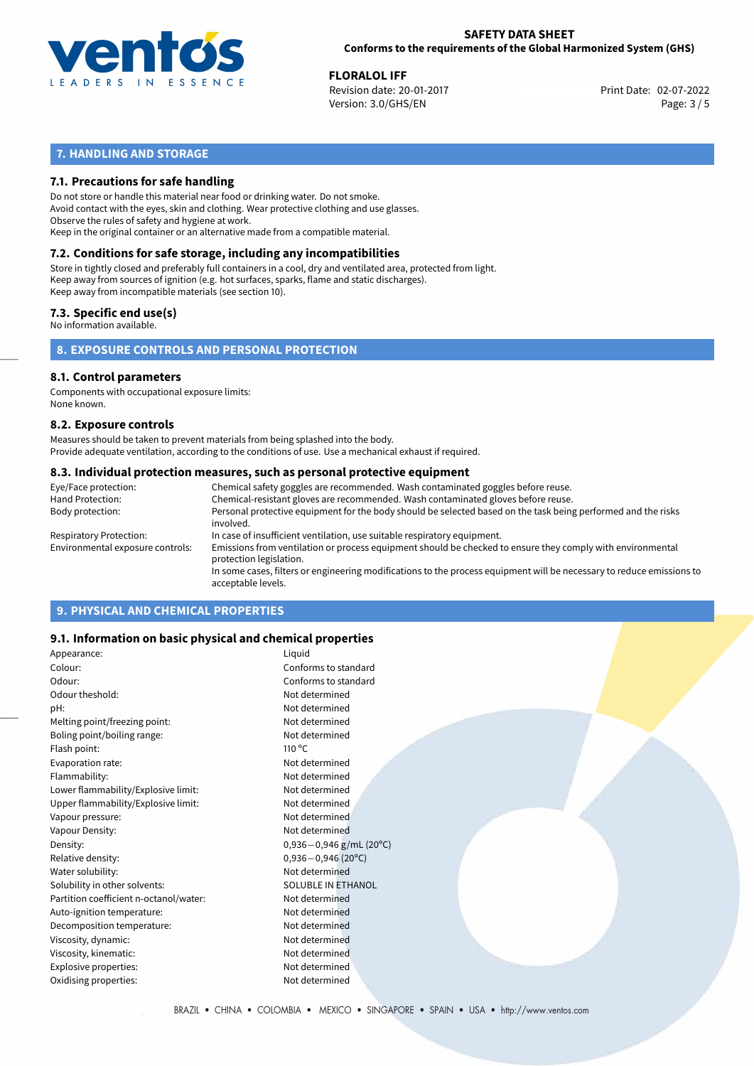

02-07-2022 **FLORALOL IFF** Revision date: 20-01-2017 Print Date: Version: 3.0/GHS/EN Page: 3 / 5

# **7. HANDLING AND STORAGE**

# **7.1. Precautions for safe handling**

Do not store or handle this material near food or drinking water. Do not smoke. Avoid contact with the eyes, skin and clothing. Wear protective clothing and use glasses. Observe the rules of safety and hygiene at work. Keep in the original container or an alternative made from a compatible material.

# **7.2. Conditions for safe storage, including any incompatibilities**

Store in tightly closed and preferably full containers in a cool, dry and ventilated area, protected from light. Keep away from sources of ignition (e.g. hot surfaces, sparks, flame and static discharges). Keep away from incompatible materials (see section 10).

# **7.3. Specific end use(s)**

No information available.

**8. EXPOSURE CONTROLS AND PERSONAL PROTECTION**

# **8.1. Control parameters**

Components with occupational exposure limits: None known.

## **8.2. Exposure controls**

Measures should be taken to prevent materials from being splashed into the body. Provide adequate ventilation, according to the conditions of use. Use a mechanical exhaust if required.

## **8.3. Individual protection measures, such as personal protective equipment**

| Eye/Face protection:             | Chemical safety goggles are recommended. Wash contaminated goggles before reuse.                                                            |
|----------------------------------|---------------------------------------------------------------------------------------------------------------------------------------------|
| Hand Protection:                 | Chemical-resistant gloves are recommended. Wash contaminated gloves before reuse.                                                           |
| Body protection:                 | Personal protective equipment for the body should be selected based on the task being performed and the risks<br>involved.                  |
| Respiratory Protection:          | In case of insufficient ventilation, use suitable respiratory equipment.                                                                    |
| Environmental exposure controls: | Emissions from ventilation or process equipment should be checked to ensure they comply with environmental<br>protection legislation.       |
|                                  | In some cases, filters or engineering modifications to the process equipment will be necessary to reduce emissions to<br>acceptable levels. |
|                                  |                                                                                                                                             |

# **9. PHYSICAL AND CHEMICAL PROPERTIES**

# **9.1. Information on basic physical and chemical properties**

| Appearance:                            | Liquid                                   |
|----------------------------------------|------------------------------------------|
| Colour:                                | Conforms to standard                     |
| Odour:                                 | Conforms to standard                     |
| Odour theshold:                        | Not determined                           |
| pH:                                    | Not determined                           |
| Melting point/freezing point:          | Not determined                           |
| Boling point/boiling range:            | Not determined                           |
| Flash point:                           | 110 °C                                   |
| Evaporation rate:                      | Not determined                           |
| Flammability:                          | Not determined                           |
| Lower flammability/Explosive limit:    | Not determined                           |
| Upper flammability/Explosive limit:    | Not determined                           |
| Vapour pressure:                       | Not determined                           |
| Vapour Density:                        | Not determined                           |
| Density:                               | $0,936 - 0,946$ g/mL (20 <sup>o</sup> C) |
| Relative density:                      | $0,936 - 0,946$ (20°C)                   |
| Water solubility:                      | Not determined                           |
| Solubility in other solvents:          | SOLUBLE IN ETHANOL                       |
| Partition coefficient n-octanol/water: | Not determined                           |
| Auto-ignition temperature:             | Not determined                           |
| Decomposition temperature:             | Not determined                           |
| Viscosity, dynamic:                    | Not determined                           |
| Viscosity, kinematic:                  | Not determined                           |
| Explosive properties:                  | Not determined                           |
| Oxidising properties:                  | Not determined                           |
|                                        |                                          |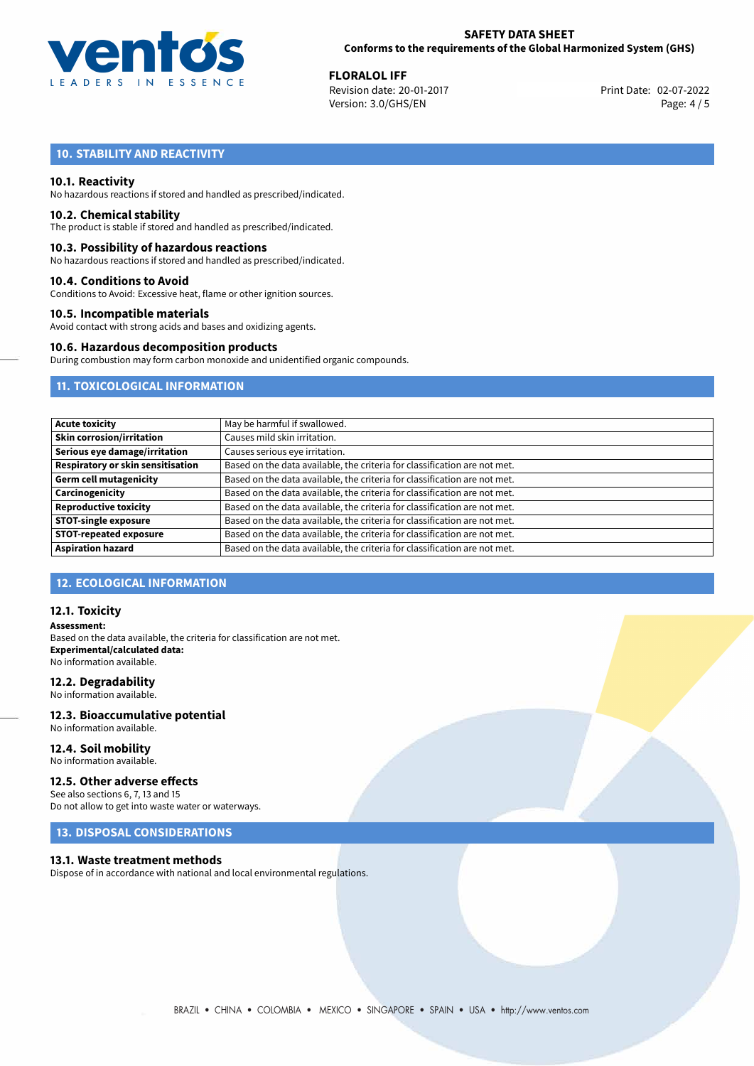

02-07-2022 **FLORALOL IFF** Revision date: 20-01-2017 Print Date: Version: 3.0/GHS/EN Page: 4 / 5

# **10. STABILITY AND REACTIVITY**

# **10.1. Reactivity**

No hazardous reactions if stored and handled as prescribed/indicated.

## **10.2. Chemical stability**

The product is stable if stored and handled as prescribed/indicated.

## **10.3. Possibility of hazardous reactions**

No hazardous reactions if stored and handled as prescribed/indicated.

## **10.4. Conditions to Avoid**

Conditions to Avoid: Excessive heat, flame or other ignition sources.

## **10.5. Incompatible materials**

Avoid contact with strong acids and bases and oxidizing agents.

## **10.6. Hazardous decomposition products**

During combustion may form carbon monoxide and unidentified organic compounds.

# **11. TOXICOLOGICAL INFORMATION**

| <b>Acute toxicity</b>                    | May be harmful if swallowed.                                              |
|------------------------------------------|---------------------------------------------------------------------------|
| <b>Skin corrosion/irritation</b>         | Causes mild skin irritation.                                              |
| Serious eye damage/irritation            | Causes serious eye irritation.                                            |
| <b>Respiratory or skin sensitisation</b> | Based on the data available, the criteria for classification are not met. |
| <b>Germ cell mutagenicity</b>            | Based on the data available, the criteria for classification are not met. |
| Carcinogenicity                          | Based on the data available, the criteria for classification are not met. |
| <b>Reproductive toxicity</b>             | Based on the data available, the criteria for classification are not met. |
| <b>STOT-single exposure</b>              | Based on the data available, the criteria for classification are not met. |
| <b>STOT-repeated exposure</b>            | Based on the data available, the criteria for classification are not met. |
| <b>Aspiration hazard</b>                 | Based on the data available, the criteria for classification are not met. |

# **12. ECOLOGICAL INFORMATION**

## **12.1. Toxicity**

**Assessment:** Based on the data available, the criteria for classification are not met. **Experimental/calculated data:** No information available.

## **12.2. Degradability**

No information available.

### **12.3. Bioaccumulative potential** No information available.

**12.4. Soil mobility**

# No information available.

# **12.5. Other adverse effects**

See also sections 6, 7, 13 and 15 Do not allow to get into waste water or waterways.

# **13. DISPOSAL CONSIDERATIONS**

## **13.1. Waste treatment methods**

Dispose of in accordance with national and local environmental regulations.